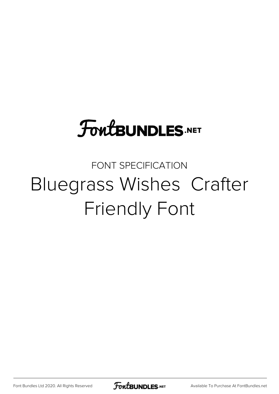# **FoutBUNDLES.NET**

#### FONT SPECIFICATION Bluegrass Wishes Crafter Friendly Font

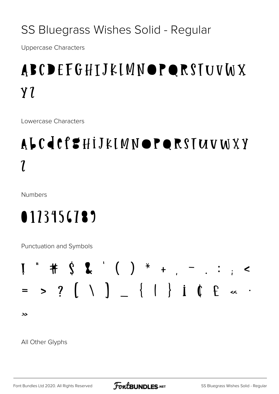#### SS Bluegrass Wishes Solid - Regular

**Uppercase Characters** 

# ABCDEFGHIJKIMNOPQRSIUVWX  $Y<sub>l</sub>$

Lowercase Characters

# ALCICISHIJKIMNOPORSIUVWXY  $\boldsymbol{\eta}$

Numbers

### 0113456789

Punctuation and Symbols



دد

All Other Glyphs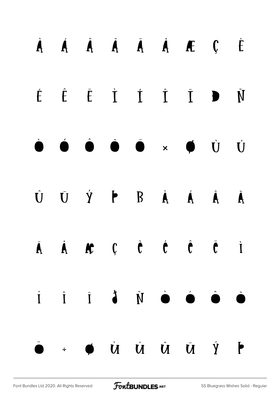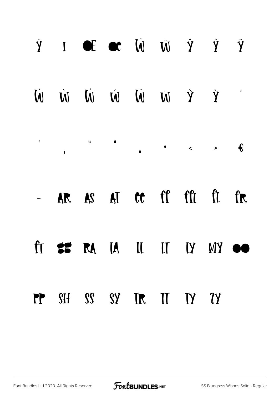| $\dot{Y}$ I of or $\hat{W}$ $\hat{W}$ $\hat{Y}$ $\hat{Y}$ |  |  |  |  |
|-----------------------------------------------------------|--|--|--|--|
| V Ý Ŵ Ŵ Ŵ Ŵ Ŵ Ŵ                                           |  |  |  |  |
|                                                           |  |  |  |  |
| - AR AS AT CC ff fft ft fr                                |  |  |  |  |
| ft <b>25 RA</b> IA II II IY MY OO                         |  |  |  |  |
| PP SH SS SY TR IT TY TY                                   |  |  |  |  |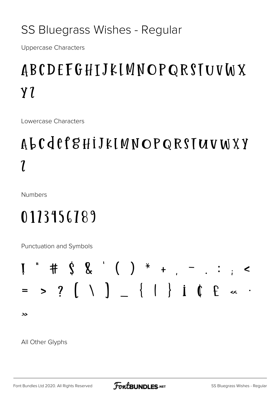#### SS Bluegrass Wishes - Regular

**Uppercase Characters** 

### ABCDEFGHIJKIMNOPQRSIUVWX  $Y<sub>l</sub>$

Lowercase Characters

# ALCCCCHIJKIMNOPQRSIUVWXY  $\boldsymbol{l}$

Numbers

# 0113156789

Punctuation and Symbols



دد

All Other Glyphs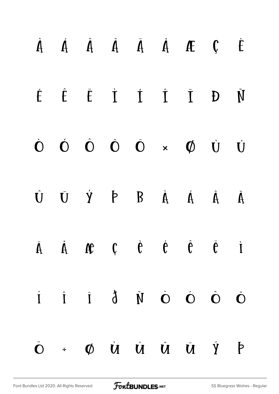|  | $\dot{A}$ $\dot{A}$ $\dot{A}$ $\ddot{A}$ $\dot{A}$ $\dot{A}$ $\dot{C}$ $\dot{C}$                                                                                                                                                                        |  |  |                      |
|--|---------------------------------------------------------------------------------------------------------------------------------------------------------------------------------------------------------------------------------------------------------|--|--|----------------------|
|  | $\begin{array}{cccccccccccccc} \acute{E} & \hat{E} & \hat{E} & \dot{I} & \dot{I} & \dot{I} & \dot{I} & \dot{D} \end{array}$                                                                                                                             |  |  | $\check{\texttt{N}}$ |
|  | $\dot{\mathbf{O}} \quad \dot{\mathbf{O}} \quad \dot{\mathbf{O}} \quad \dot{\mathbf{O}} \quad \dot{\mathbf{O}} \quad \times \quad \dot{\mathbf{O}} \quad \dot{\mathbf{U}} \quad \dot{\mathbf{U}}$                                                        |  |  |                      |
|  | $\begin{array}{ccccccccccccccccc} \hat{\mathbf{U}} & \hat{\mathbf{U}} & \hat{\mathbf{V}} & \hat{\mathbf{P}} & \mathbf{B} & \hat{\mathbf{A}} & \hat{\mathbf{A}} & \hat{\mathbf{A}} & \hat{\mathbf{U}} & \hat{\mathbf{U}} & \hat{\mathbf{U}} \end{array}$ |  |  |                      |
|  | $\dot{A}$ $\dot{A}$ $\dot{B}$ $\dot{C}$ $\dot{C}$ $\dot{C}$ $\dot{C}$ $\dot{C}$ $\dot{C}$ $\dot{A}$                                                                                                                                                     |  |  |                      |
|  | $\dot{\mathbf{i}}$ $\dot{\mathbf{i}}$ $\dot{\mathbf{i}}$ $\dot{\mathbf{j}}$ $\dot{\mathbf{N}}$ $\dot{\mathbf{O}}$ $\dot{\mathbf{O}}$ $\dot{\mathbf{O}}$ $\dot{\mathbf{O}}$                                                                              |  |  |                      |
|  | $\dot{\mathbf{O}}$ + $\boldsymbol{\phi}$ $\dot{\mathbf{U}}$ $\dot{\mathbf{U}}$ $\dot{\mathbf{U}}$ $\dot{\mathbf{U}}$ $\dot{\mathbf{V}}$ $\dot{\mathbf{P}}$                                                                                              |  |  |                      |